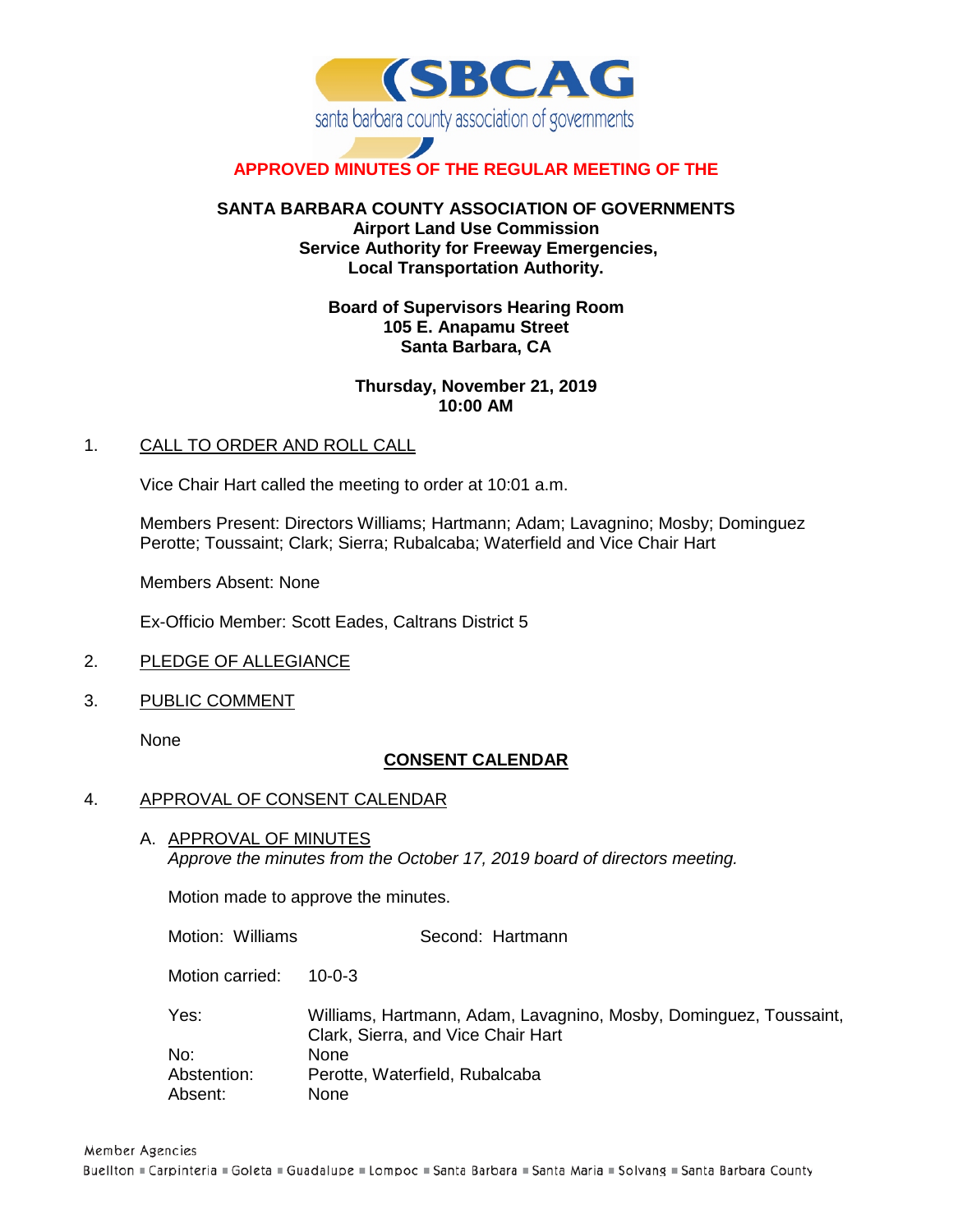

# **APPROVED MINUTES OF THE REGULAR MEETING OF THE**

# **SANTA BARBARA COUNTY ASSOCIATION OF GOVERNMENTS Airport Land Use Commission Service Authority for Freeway Emergencies, Local Transportation Authority.**

### **Board of Supervisors Hearing Room 105 E. Anapamu Street Santa Barbara, CA**

## **Thursday, November 21, 2019 10:00 AM**

### 1. CALL TO ORDER AND ROLL CALL

Vice Chair Hart called the meeting to order at 10:01 a.m.

Members Present: Directors Williams; Hartmann; Adam; Lavagnino; Mosby; Dominguez Perotte; Toussaint; Clark; Sierra; Rubalcaba; Waterfield and Vice Chair Hart

Members Absent: None

Ex-Officio Member: Scott Eades, Caltrans District 5

- 2. PLEDGE OF ALLEGIANCE
- 3. PUBLIC COMMENT

None

# **CONSENT CALENDAR**

#### 4. APPROVAL OF CONSENT CALENDAR

A. APPROVAL OF MINUTES *Approve the minutes from the October 17, 2019 board of directors meeting.*

Motion made to approve the minutes.

Motion: Williams Second: Hartmann

Motion carried: 10-0-3

| Yes:        | Williams, Hartmann, Adam, Lavagnino, Mosby, Dominguez, Toussaint, |
|-------------|-------------------------------------------------------------------|
|             | Clark, Sierra, and Vice Chair Hart                                |
| No:         | None                                                              |
| Abstention: | Perotte, Waterfield, Rubalcaba                                    |
| Absent:     | None                                                              |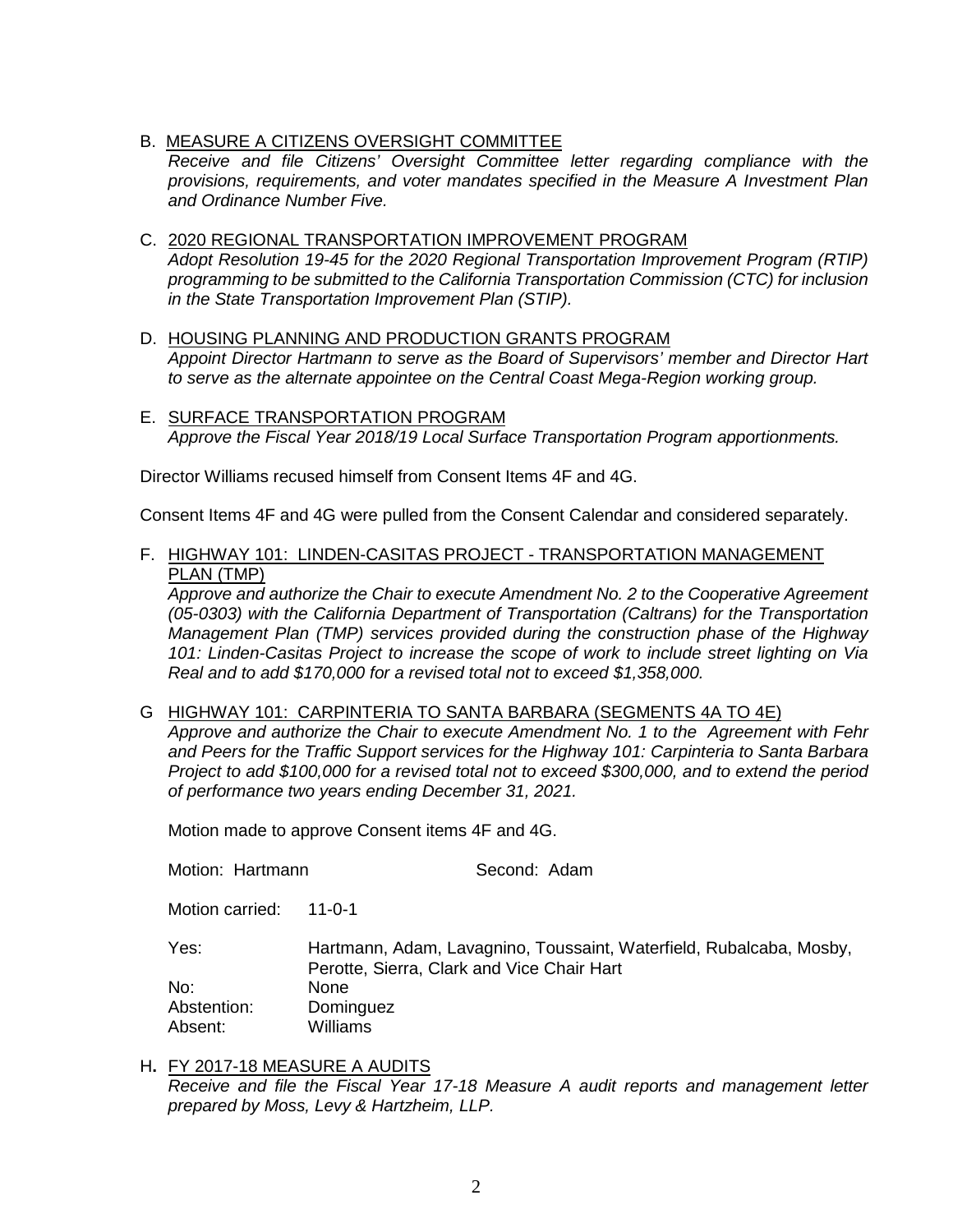B. MEASURE A CITIZENS OVERSIGHT COMMITTEE

*Receive and file Citizens' Oversight Committee letter regarding compliance with the provisions, requirements, and voter mandates specified in the Measure A Investment Plan and Ordinance Number Five.*

- C. 2020 REGIONAL TRANSPORTATION IMPROVEMENT PROGRAM *Adopt Resolution 19-45 for the 2020 Regional Transportation Improvement Program (RTIP) programming to be submitted to the California Transportation Commission (CTC) for inclusion in the State Transportation Improvement Plan (STIP).*
- D. HOUSING PLANNING AND PRODUCTION GRANTS PROGRAM *Appoint Director Hartmann to serve as the Board of Supervisors' member and Director Hart to serve as the alternate appointee on the Central Coast Mega-Region working group.*
- E. SURFACE TRANSPORTATION PROGRAM *Approve the Fiscal Year 2018/19 Local Surface Transportation Program apportionments.*

Director Williams recused himself from Consent Items 4F and 4G.

Consent Items 4F and 4G were pulled from the Consent Calendar and considered separately.

F. HIGHWAY 101: LINDEN-CASITAS PROJECT - TRANSPORTATION MANAGEMENT PLAN (TMP)

*Approve and authorize the Chair to execute Amendment No. 2 to the Cooperative Agreement (05-0303) with the California Department of Transportation (Caltrans) for the Transportation Management Plan (TMP) services provided during the construction phase of the Highway 101: Linden-Casitas Project to increase the scope of work to include street lighting on Via Real and to add \$170,000 for a revised total not to exceed \$1,358,000.*

G HIGHWAY 101: CARPINTERIA TO SANTA BARBARA (SEGMENTS 4A TO 4E)

*Approve and authorize the Chair to execute Amendment No. 1 to the Agreement with Fehr and Peers for the Traffic Support services for the Highway 101: Carpinteria to Santa Barbara Project to add \$100,000 for a revised total not to exceed \$300,000, and to extend the period of performance two years ending December 31, 2021.*

Motion made to approve Consent items 4F and 4G.

Motion: Hartmann Second: Adam

Motion carried: 11-0-1

Yes: Hartmann, Adam, Lavagnino, Toussaint, Waterfield, Rubalcaba, Mosby, Perotte, Sierra, Clark and Vice Chair Hart No: None Abstention: Dominguez Absent: Williams

H**.** FY 2017-18 MEASURE A AUDITS *Receive and file the Fiscal Year 17-18 Measure A audit reports and management letter prepared by Moss, Levy & Hartzheim, LLP.*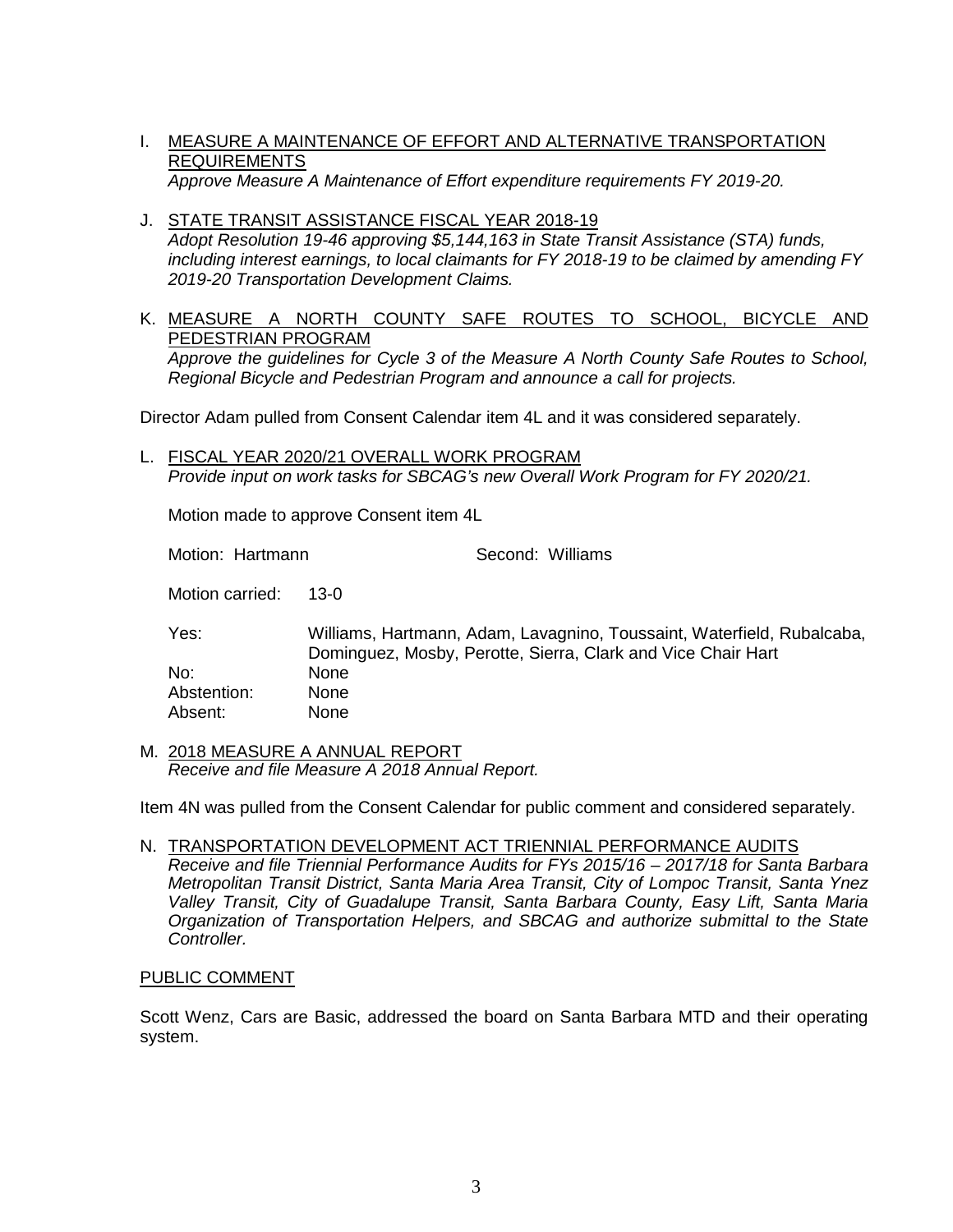- I. MEASURE A MAINTENANCE OF EFFORT AND ALTERNATIVE TRANSPORTATION REQUIREMENTS *Approve Measure A Maintenance of Effort expenditure requirements FY 2019-20.*
- J. STATE TRANSIT ASSISTANCE FISCAL YEAR 2018-19 *Adopt Resolution 19-46 approving \$5,144,163 in State Transit Assistance (STA) funds, including interest earnings, to local claimants for FY 2018-19 to be claimed by amending FY 2019-20 Transportation Development Claims.*
- K. MEASURE A NORTH COUNTY SAFE ROUTES TO SCHOOL, BICYCLE AND PEDESTRIAN PROGRAM *Approve the guidelines for Cycle 3 of the Measure A North County Safe Routes to School, Regional Bicycle and Pedestrian Program and announce a call for projects.*

Director Adam pulled from Consent Calendar item 4L and it was considered separately.

L. FISCAL YEAR 2020/21 OVERALL WORK PROGRAM *Provide input on work tasks for SBCAG's new Overall Work Program for FY 2020/21.* 

Motion made to approve Consent item 4L

Motion: Hartmann Second: Williams

Motion carried: 13-0

Yes: Williams, Hartmann, Adam, Lavagnino, Toussaint, Waterfield, Rubalcaba, Dominguez, Mosby, Perotte, Sierra, Clark and Vice Chair Hart No: None<br>Abstention: None Abstention: Absent: None

M. 2018 MEASURE A ANNUAL REPORT *Receive and file Measure A 2018 Annual Report.*

Item 4N was pulled from the Consent Calendar for public comment and considered separately.

N. TRANSPORTATION DEVELOPMENT ACT TRIENNIAL PERFORMANCE AUDITS *Receive and file Triennial Performance Audits for FYs 2015/16 – 2017/18 for Santa Barbara Metropolitan Transit District, Santa Maria Area Transit, City of Lompoc Transit, Santa Ynez Valley Transit, City of Guadalupe Transit, Santa Barbara County, Easy Lift, Santa Maria Organization of Transportation Helpers, and SBCAG and authorize submittal to the State* 

#### PUBLIC COMMENT

*Controller.*

Scott Wenz, Cars are Basic, addressed the board on Santa Barbara MTD and their operating system.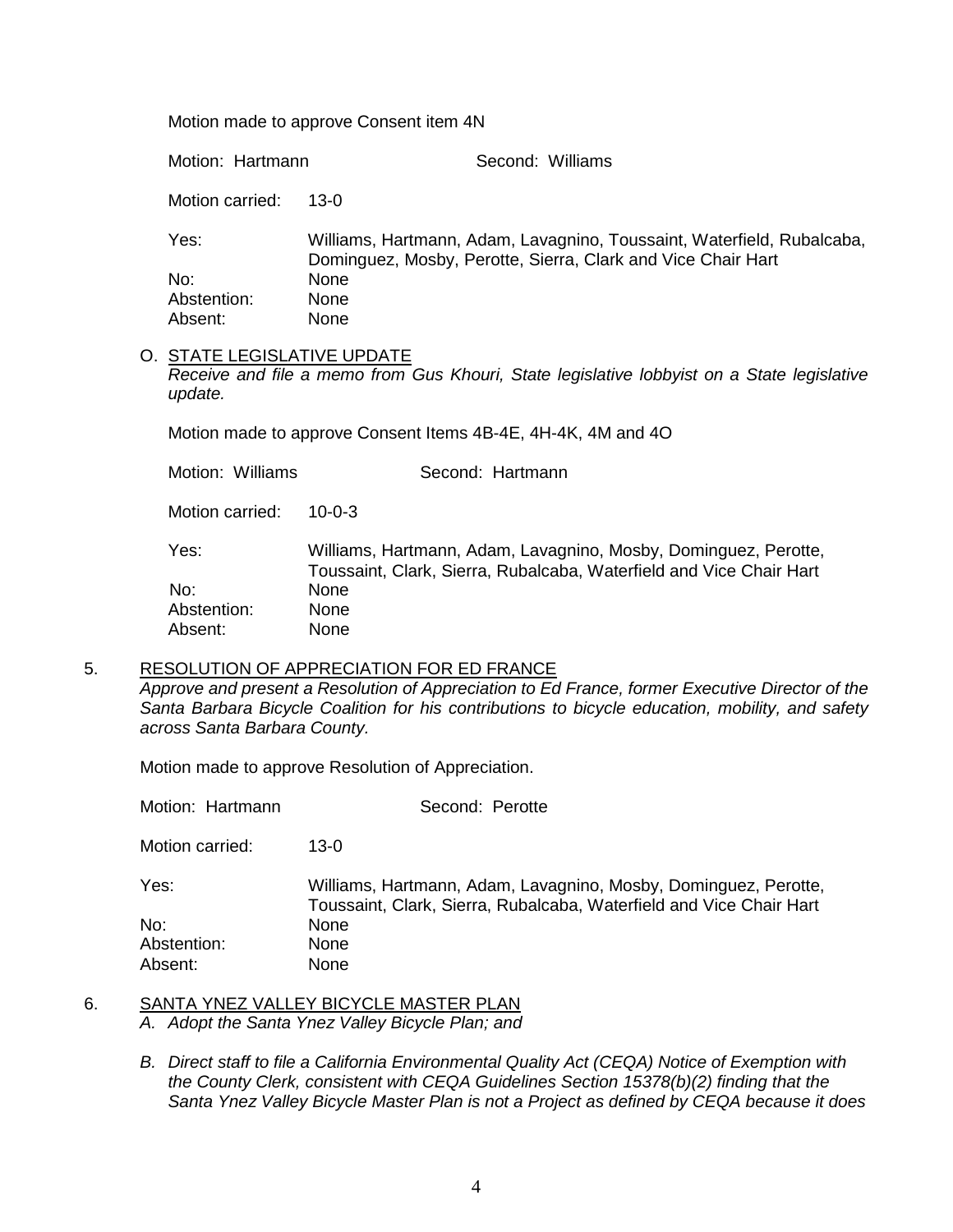Motion made to approve Consent item 4N

Motion: Hartmann Second: Williams

Motion carried: 13-0

Yes: Williams, Hartmann, Adam, Lavagnino, Toussaint, Waterfield, Rubalcaba, Dominguez, Mosby, Perotte, Sierra, Clark and Vice Chair Hart No: None Abstention: None<br>Absent: None Absent:

#### O. STATE LEGISLATIVE UPDATE *Receive and file a memo from Gus Khouri, State legislative lobbyist on a State legislative update.*

Motion made to approve Consent Items 4B-4E, 4H-4K, 4M and 4O

Motion: Williams **Second: Hartmann** Motion carried: 10-0-3 Yes: Williams, Hartmann, Adam, Lavagnino, Mosby, Dominguez, Perotte, Toussaint, Clark, Sierra, Rubalcaba, Waterfield and Vice Chair Hart No: None Abstention: None Absent: None

5. RESOLUTION OF APPRECIATION FOR ED FRANCE

*Approve and present a Resolution of Appreciation to Ed France, former Executive Director of the Santa Barbara Bicycle Coalition for his contributions to bicycle education, mobility, and safety across Santa Barbara County.*

Motion made to approve Resolution of Appreciation.

Motion: Hartmann Second: Perotte

Motion carried: 13-0

Yes: Williams, Hartmann, Adam, Lavagnino, Mosby, Dominguez, Perotte, Toussaint, Clark, Sierra, Rubalcaba, Waterfield and Vice Chair Hart No: None Abstention: None Absent: None

- 6. SANTA YNEZ VALLEY BICYCLE MASTER PLAN *A. Adopt the Santa Ynez Valley Bicycle Plan; and*
	- *B. Direct staff to file a California Environmental Quality Act (CEQA) Notice of Exemption with the County Clerk, consistent with CEQA Guidelines Section 15378(b)(2) finding that the Santa Ynez Valley Bicycle Master Plan is not a Project as defined by CEQA because it does*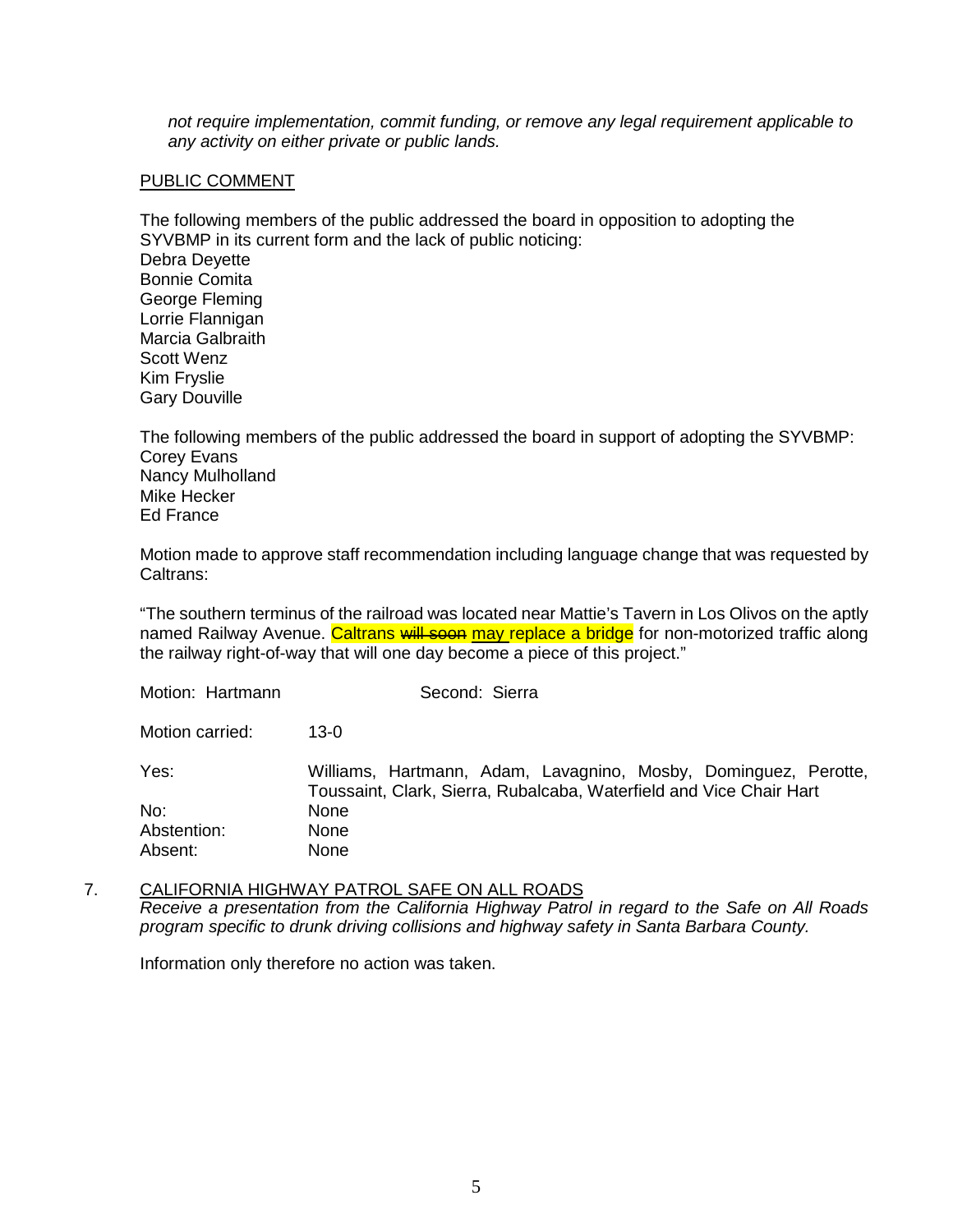*not require implementation, commit funding, or remove any legal requirement applicable to any activity on either private or public lands.*

#### PUBLIC COMMENT

The following members of the public addressed the board in opposition to adopting the SYVBMP in its current form and the lack of public noticing: Debra Deyette Bonnie Comita George Fleming Lorrie Flannigan Marcia Galbraith Scott Wenz Kim Fryslie Gary Douville

The following members of the public addressed the board in support of adopting the SYVBMP: Corey Evans Nancy Mulholland Mike Hecker Ed France

Motion made to approve staff recommendation including language change that was requested by Caltrans:

"The southern terminus of the railroad was located near Mattie's Tavern in Los Olivos on the aptly named Railway Avenue. Caltrans will soon may replace a bridge for non-motorized traffic along the railway right-of-way that will one day become a piece of this project."

| Motion: Hartmann | Second: Sierra                                                                                                                         |
|------------------|----------------------------------------------------------------------------------------------------------------------------------------|
| Motion carried:  | 13-0                                                                                                                                   |
| Yes:             | Williams, Hartmann, Adam, Lavagnino, Mosby, Dominguez, Perotte,<br>Toussaint, Clark, Sierra, Rubalcaba, Waterfield and Vice Chair Hart |
| No:              | <b>None</b>                                                                                                                            |
| Abstention:      | <b>None</b>                                                                                                                            |
| Absent:          | <b>None</b>                                                                                                                            |

7. CALIFORNIA HIGHWAY PATROL SAFE ON ALL ROADS *Receive a presentation from the California Highway Patrol in regard to the Safe on All Roads program specific to drunk driving collisions and highway safety in Santa Barbara County.* 

Information only therefore no action was taken.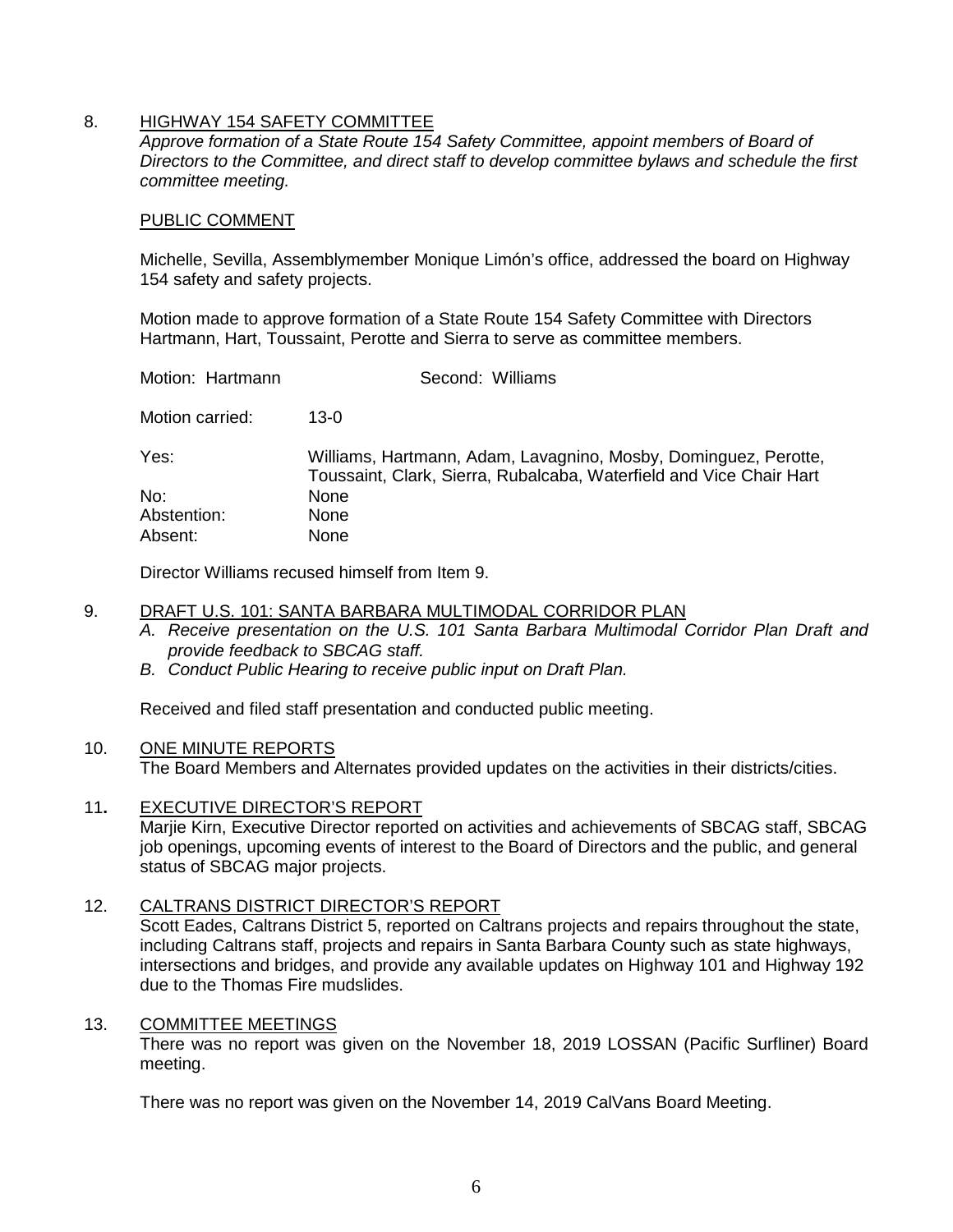## 8. HIGHWAY 154 SAFETY COMMITTEE

*Approve formation of a State Route 154 Safety Committee, appoint members of Board of Directors to the Committee, and direct staff to develop committee bylaws and schedule the first committee meeting.*

#### PUBLIC COMMENT

Michelle, Sevilla, Assemblymember Monique Limón's office, addressed the board on Highway 154 safety and safety projects.

Motion made to approve formation of a State Route 154 Safety Committee with Directors Hartmann, Hart, Toussaint, Perotte and Sierra to serve as committee members.

| Motion: Hartmann | Second: Williams                                                                                                                       |
|------------------|----------------------------------------------------------------------------------------------------------------------------------------|
| Motion carried:  | $13-0$                                                                                                                                 |
| Yes:             | Williams, Hartmann, Adam, Lavagnino, Mosby, Dominguez, Perotte,<br>Toussaint, Clark, Sierra, Rubalcaba, Waterfield and Vice Chair Hart |
| No:              | <b>None</b>                                                                                                                            |
| Abstention:      | None                                                                                                                                   |
| Absent:          | None                                                                                                                                   |

Director Williams recused himself from Item 9.

### 9. DRAFT U.S. 101: SANTA BARBARA MULTIMODAL CORRIDOR PLAN

- *A. Receive presentation on the U.S. 101 Santa Barbara Multimodal Corridor Plan Draft and provide feedback to SBCAG staff.*
- *B. Conduct Public Hearing to receive public input on Draft Plan.*

Received and filed staff presentation and conducted public meeting.

# 10. ONE MINUTE REPORTS

The Board Members and Alternates provided updates on the activities in their districts/cities.

11**.** EXECUTIVE DIRECTOR'S REPORT

Marjie Kirn, Executive Director reported on activities and achievements of SBCAG staff, SBCAG job openings, upcoming events of interest to the Board of Directors and the public, and general status of SBCAG major projects.

### 12. CALTRANS DISTRICT DIRECTOR'S REPORT

Scott Eades, Caltrans District 5, reported on Caltrans projects and repairs throughout the state, including Caltrans staff, projects and repairs in Santa Barbara County such as state highways, intersections and bridges, and provide any available updates on Highway 101 and Highway 192 due to the Thomas Fire mudslides.

#### 13. COMMITTEE MEETINGS

There was no report was given on the November 18, 2019 LOSSAN (Pacific Surfliner) Board meeting.

There was no report was given on the November 14, 2019 CalVans Board Meeting.